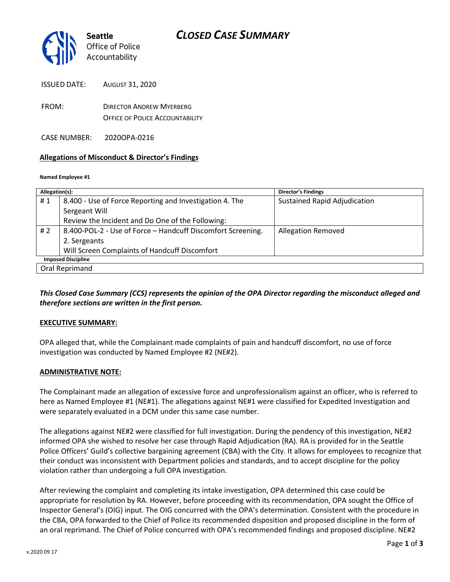

ISSUED DATE: AUGUST 31, 2020

FROM: DIRECTOR ANDREW MYERBERG OFFICE OF POLICE ACCOUNTABILITY

CASE NUMBER: 2020OPA-0216

#### **Allegations of Misconduct & Director's Findings**

#### **Named Employee #1**

| Allegation(s):            |                                                             | <b>Director's Findings</b>   |
|---------------------------|-------------------------------------------------------------|------------------------------|
| #1                        | 8.400 - Use of Force Reporting and Investigation 4. The     | Sustained Rapid Adjudication |
|                           | Sergeant Will                                               |                              |
|                           | Review the Incident and Do One of the Following:            |                              |
| #2                        | 8.400-POL-2 - Use of Force - Handcuff Discomfort Screening. | <b>Allegation Removed</b>    |
|                           | 2. Sergeants                                                |                              |
|                           | Will Screen Complaints of Handcuff Discomfort               |                              |
| <b>Imposed Discipline</b> |                                                             |                              |
| Oral Reprimand            |                                                             |                              |

*This Closed Case Summary (CCS) represents the opinion of the OPA Director regarding the misconduct alleged and therefore sections are written in the first person.* 

#### **EXECUTIVE SUMMARY:**

OPA alleged that, while the Complainant made complaints of pain and handcuff discomfort, no use of force investigation was conducted by Named Employee #2 (NE#2).

#### **ADMINISTRATIVE NOTE:**

The Complainant made an allegation of excessive force and unprofessionalism against an officer, who is referred to here as Named Employee #1 (NE#1). The allegations against NE#1 were classified for Expedited Investigation and were separately evaluated in a DCM under this same case number.

The allegations against NE#2 were classified for full investigation. During the pendency of this investigation, NE#2 informed OPA she wished to resolve her case through Rapid Adjudication (RA). RA is provided for in the Seattle Police Officers' Guild's collective bargaining agreement (CBA) with the City. It allows for employees to recognize that their conduct was inconsistent with Department policies and standards, and to accept discipline for the policy violation rather than undergoing a full OPA investigation.

After reviewing the complaint and completing its intake investigation, OPA determined this case could be appropriate for resolution by RA. However, before proceeding with its recommendation, OPA sought the Office of Inspector General's (OIG) input. The OIG concurred with the OPA's determination. Consistent with the procedure in the CBA, OPA forwarded to the Chief of Police its recommended disposition and proposed discipline in the form of an oral reprimand. The Chief of Police concurred with OPA's recommended findings and proposed discipline. NE#2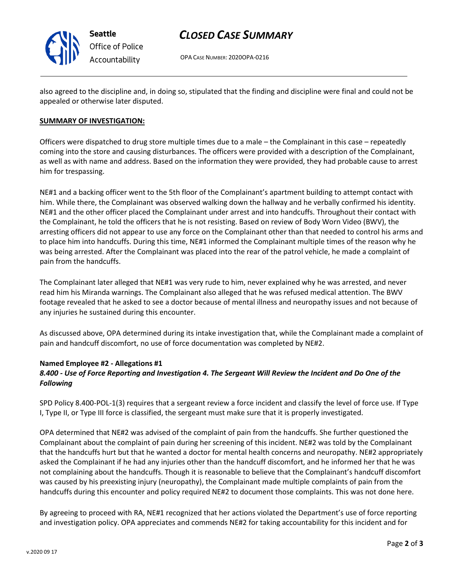

## *CLOSED CASE SUMMARY*

OPA CASE NUMBER: 2020OPA-0216

also agreed to the discipline and, in doing so, stipulated that the finding and discipline were final and could not be appealed or otherwise later disputed.

#### **SUMMARY OF INVESTIGATION:**

Officers were dispatched to drug store multiple times due to a male – the Complainant in this case – repeatedly coming into the store and causing disturbances. The officers were provided with a description of the Complainant, as well as with name and address. Based on the information they were provided, they had probable cause to arrest him for trespassing.

NE#1 and a backing officer went to the 5th floor of the Complainant's apartment building to attempt contact with him. While there, the Complainant was observed walking down the hallway and he verbally confirmed his identity. NE#1 and the other officer placed the Complainant under arrest and into handcuffs. Throughout their contact with the Complainant, he told the officers that he is not resisting. Based on review of Body Worn Video (BWV), the arresting officers did not appear to use any force on the Complainant other than that needed to control his arms and to place him into handcuffs. During this time, NE#1 informed the Complainant multiple times of the reason why he was being arrested. After the Complainant was placed into the rear of the patrol vehicle, he made a complaint of pain from the handcuffs.

The Complainant later alleged that NE#1 was very rude to him, never explained why he was arrested, and never read him his Miranda warnings. The Complainant also alleged that he was refused medical attention. The BWV footage revealed that he asked to see a doctor because of mental illness and neuropathy issues and not because of any injuries he sustained during this encounter.

As discussed above, OPA determined during its intake investigation that, while the Complainant made a complaint of pain and handcuff discomfort, no use of force documentation was completed by NE#2.

#### **Named Employee #2 - Allegations #1**

### *8.400 - Use of Force Reporting and Investigation 4. The Sergeant Will Review the Incident and Do One of the Following*

SPD Policy 8.400-POL-1(3) requires that a sergeant review a force incident and classify the level of force use. If Type I, Type II, or Type III force is classified, the sergeant must make sure that it is properly investigated.

OPA determined that NE#2 was advised of the complaint of pain from the handcuffs. She further questioned the Complainant about the complaint of pain during her screening of this incident. NE#2 was told by the Complainant that the handcuffs hurt but that he wanted a doctor for mental health concerns and neuropathy. NE#2 appropriately asked the Complainant if he had any injuries other than the handcuff discomfort, and he informed her that he was not complaining about the handcuffs. Though it is reasonable to believe that the Complainant's handcuff discomfort was caused by his preexisting injury (neuropathy), the Complainant made multiple complaints of pain from the handcuffs during this encounter and policy required NE#2 to document those complaints. This was not done here.

By agreeing to proceed with RA, NE#1 recognized that her actions violated the Department's use of force reporting and investigation policy. OPA appreciates and commends NE#2 for taking accountability for this incident and for